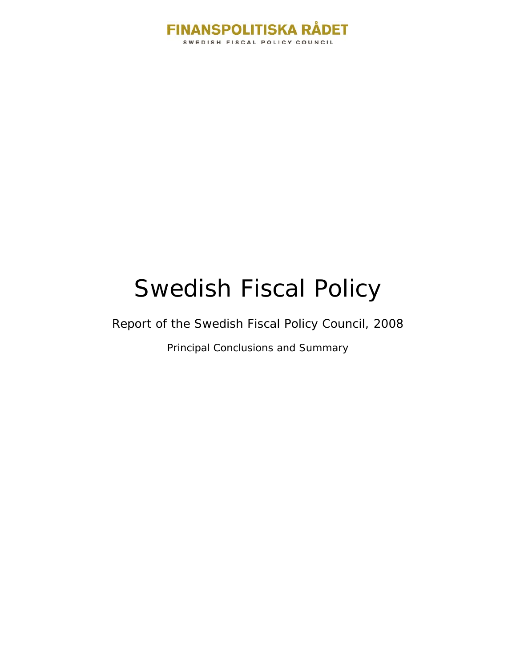

# Swedish Fiscal Policy

Report of the Swedish Fiscal Policy Council, 2008

Principal Conclusions and Summary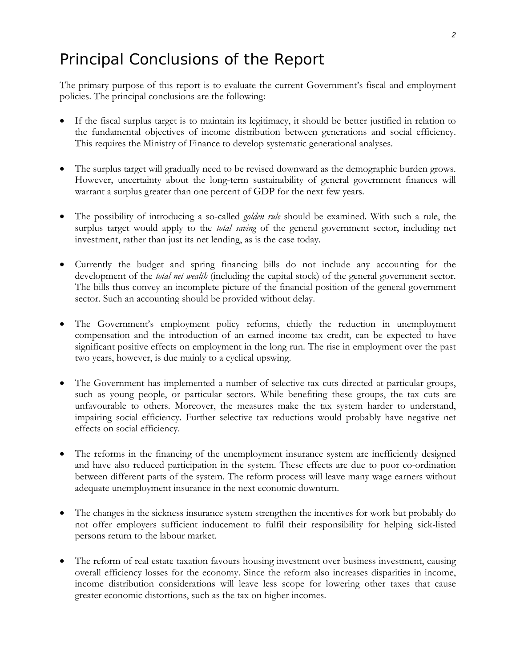# Principal Conclusions of the Report

The primary purpose of this report is to evaluate the current Government's fiscal and employment policies. The principal conclusions are the following:

- If the fiscal surplus target is to maintain its legitimacy, it should be better justified in relation to the fundamental objectives of income distribution between generations and social efficiency. This requires the Ministry of Finance to develop systematic generational analyses.
- The surplus target will gradually need to be revised downward as the demographic burden grows. However, uncertainty about the long-term sustainability of general government finances will warrant a surplus greater than one percent of GDP for the next few years.
- The possibility of introducing a so-called *golden rule* should be examined. With such a rule, the surplus target would apply to the *total saving* of the general government sector, including net investment, rather than just its net lending, as is the case today.
- Currently the budget and spring financing bills do not include any accounting for the development of the *total net wealth* (including the capital stock) of the general government sector. The bills thus convey an incomplete picture of the financial position of the general government sector. Such an accounting should be provided without delay.
- The Government's employment policy reforms, chiefly the reduction in unemployment compensation and the introduction of an earned income tax credit, can be expected to have significant positive effects on employment in the long run. The rise in employment over the past two years, however, is due mainly to a cyclical upswing.
- The Government has implemented a number of selective tax cuts directed at particular groups, such as young people, or particular sectors. While benefiting these groups, the tax cuts are unfavourable to others. Moreover, the measures make the tax system harder to understand, impairing social efficiency. Further selective tax reductions would probably have negative net effects on social efficiency.
- The reforms in the financing of the unemployment insurance system are inefficiently designed and have also reduced participation in the system. These effects are due to poor co-ordination between different parts of the system. The reform process will leave many wage earners without adequate unemployment insurance in the next economic downturn.
- The changes in the sickness insurance system strengthen the incentives for work but probably do not offer employers sufficient inducement to fulfil their responsibility for helping sick-listed persons return to the labour market.
- The reform of real estate taxation favours housing investment over business investment, causing overall efficiency losses for the economy. Since the reform also increases disparities in income, income distribution considerations will leave less scope for lowering other taxes that cause greater economic distortions, such as the tax on higher incomes.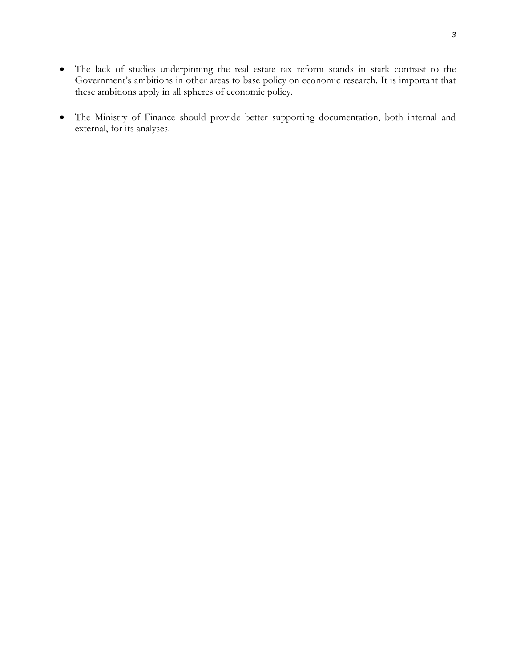• The Ministry of Finance should provide better supporting documentation, both internal and external, for its analyses.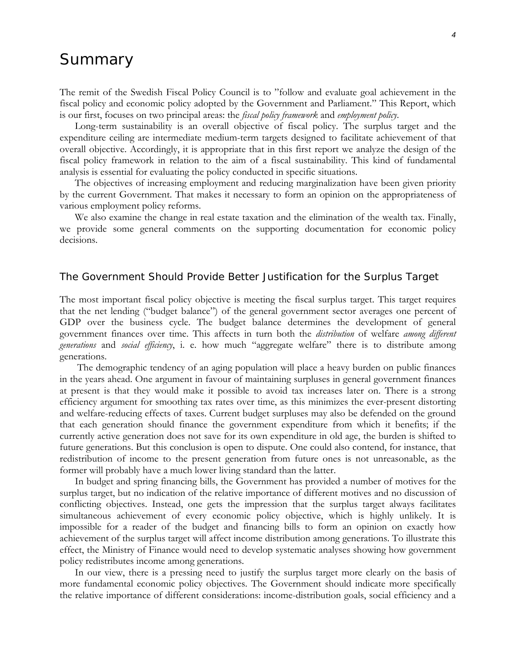# Summary

The remit of the Swedish Fiscal Policy Council is to "follow and evaluate goal achievement in the fiscal policy and economic policy adopted by the Government and Parliament." This Report, which is our first, focuses on two principal areas: the *fiscal policy framework* and *employment policy*.

Long-term sustainability is an overall objective of fiscal policy. The surplus target and the expenditure ceiling are intermediate medium-term targets designed to facilitate achievement of that overall objective. Accordingly, it is appropriate that in this first report we analyze the design of the fiscal policy framework in relation to the aim of a fiscal sustainability. This kind of fundamental analysis is essential for evaluating the policy conducted in specific situations.

The objectives of increasing employment and reducing marginalization have been given priority by the current Government. That makes it necessary to form an opinion on the appropriateness of various employment policy reforms.

We also examine the change in real estate taxation and the elimination of the wealth tax. Finally, we provide some general comments on the supporting documentation for economic policy decisions.

### The Government Should Provide Better Justification for the Surplus Target

The most important fiscal policy objective is meeting the fiscal surplus target. This target requires that the net lending ("budget balance") of the general government sector averages one percent of GDP over the business cycle. The budget balance determines the development of general government finances over time. This affects in turn both the *distribution* of welfare *among different generations* and *social efficiency*, i. e. how much "aggregate welfare" there is to distribute among generations.

 The demographic tendency of an aging population will place a heavy burden on public finances in the years ahead. One argument in favour of maintaining surpluses in general government finances at present is that they would make it possible to avoid tax increases later on. There is a strong efficiency argument for smoothing tax rates over time, as this minimizes the ever-present distorting and welfare-reducing effects of taxes. Current budget surpluses may also be defended on the ground that each generation should finance the government expenditure from which it benefits; if the currently active generation does not save for its own expenditure in old age, the burden is shifted to future generations. But this conclusion is open to dispute. One could also contend, for instance, that redistribution of income to the present generation from future ones is not unreasonable, as the former will probably have a much lower living standard than the latter.

In budget and spring financing bills, the Government has provided a number of motives for the surplus target, but no indication of the relative importance of different motives and no discussion of conflicting objectives. Instead, one gets the impression that the surplus target always facilitates simultaneous achievement of every economic policy objective, which is highly unlikely. It is impossible for a reader of the budget and financing bills to form an opinion on exactly how achievement of the surplus target will affect income distribution among generations. To illustrate this effect, the Ministry of Finance would need to develop systematic analyses showing how government policy redistributes income among generations.

In our view, there is a pressing need to justify the surplus target more clearly on the basis of more fundamental economic policy objectives. The Government should indicate more specifically the relative importance of different considerations: income-distribution goals, social efficiency and a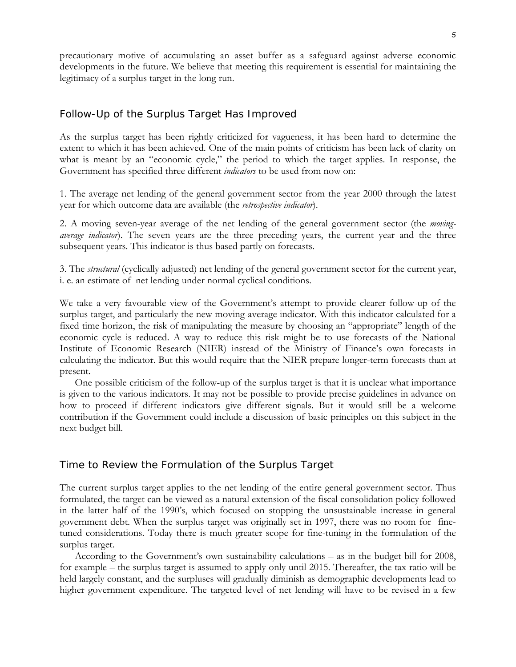precautionary motive of accumulating an asset buffer as a safeguard against adverse economic developments in the future. We believe that meeting this requirement is essential for maintaining the legitimacy of a surplus target in the long run.

# Follow-Up of the Surplus Target Has Improved

As the surplus target has been rightly criticized for vagueness, it has been hard to determine the extent to which it has been achieved. One of the main points of criticism has been lack of clarity on what is meant by an "economic cycle," the period to which the target applies. In response, the Government has specified three different *indicators* to be used from now on:

1. The average net lending of the general government sector from the year 2000 through the latest year for which outcome data are available (the *retrospective indicator*).

2. A moving seven-year average of the net lending of the general government sector (the *movingaverage indicator*). The seven years are the three preceding years, the current year and the three subsequent years. This indicator is thus based partly on forecasts.

3. The *structural* (cyclically adjusted) net lending of the general government sector for the current year, i. e. an estimate of net lending under normal cyclical conditions.

We take a very favourable view of the Government's attempt to provide clearer follow-up of the surplus target, and particularly the new moving-average indicator. With this indicator calculated for a fixed time horizon, the risk of manipulating the measure by choosing an "appropriate" length of the economic cycle is reduced. A way to reduce this risk might be to use forecasts of the National Institute of Economic Research (NIER) instead of the Ministry of Finance's own forecasts in calculating the indicator. But this would require that the NIER prepare longer-term forecasts than at present.

One possible criticism of the follow-up of the surplus target is that it is unclear what importance is given to the various indicators. It may not be possible to provide precise guidelines in advance on how to proceed if different indicators give different signals. But it would still be a welcome contribution if the Government could include a discussion of basic principles on this subject in the next budget bill.

# Time to Review the Formulation of the Surplus Target

The current surplus target applies to the net lending of the entire general government sector. Thus formulated, the target can be viewed as a natural extension of the fiscal consolidation policy followed in the latter half of the 1990's, which focused on stopping the unsustainable increase in general government debt. When the surplus target was originally set in 1997, there was no room for finetuned considerations. Today there is much greater scope for fine-tuning in the formulation of the surplus target.

According to the Government's own sustainability calculations – as in the budget bill for 2008, for example – the surplus target is assumed to apply only until 2015. Thereafter, the tax ratio will be held largely constant, and the surpluses will gradually diminish as demographic developments lead to higher government expenditure. The targeted level of net lending will have to be revised in a few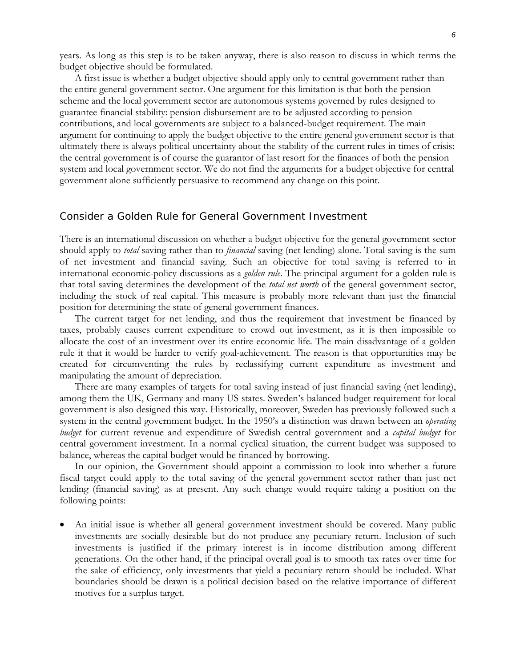years. As long as this step is to be taken anyway, there is also reason to discuss in which terms the budget objective should be formulated.

A first issue is whether a budget objective should apply only to central government rather than the entire general government sector. One argument for this limitation is that both the pension scheme and the local government sector are autonomous systems governed by rules designed to guarantee financial stability: pension disbursement are to be adjusted according to pension contributions, and local governments are subject to a balanced-budget requirement. The main argument for continuing to apply the budget objective to the entire general government sector is that ultimately there is always political uncertainty about the stability of the current rules in times of crisis: the central government is of course the guarantor of last resort for the finances of both the pension system and local government sector. We do not find the arguments for a budget objective for central government alone sufficiently persuasive to recommend any change on this point.

#### Consider a Golden Rule for General Government Investment

There is an international discussion on whether a budget objective for the general government sector should apply to *total* saving rather than to *financial* saving (net lending) alone. Total saving is the sum of net investment and financial saving. Such an objective for total saving is referred to in international economic-policy discussions as a *golden rule*. The principal argument for a golden rule is that total saving determines the development of the *total net worth* of the general government sector, including the stock of real capital. This measure is probably more relevant than just the financial position for determining the state of general government finances.

The current target for net lending, and thus the requirement that investment be financed by taxes, probably causes current expenditure to crowd out investment, as it is then impossible to allocate the cost of an investment over its entire economic life. The main disadvantage of a golden rule it that it would be harder to verify goal-achievement. The reason is that opportunities may be created for circumventing the rules by reclassifying current expenditure as investment and manipulating the amount of depreciation.

There are many examples of targets for total saving instead of just financial saving (net lending), among them the UK, Germany and many US states. Sweden's balanced budget requirement for local government is also designed this way. Historically, moreover, Sweden has previously followed such a system in the central government budget. In the 1950's a distinction was drawn between an *operating budget* for current revenue and expenditure of Swedish central government and a *capital budget* for central government investment. In a normal cyclical situation, the current budget was supposed to balance, whereas the capital budget would be financed by borrowing.

In our opinion, the Government should appoint a commission to look into whether a future fiscal target could apply to the total saving of the general government sector rather than just net lending (financial saving) as at present. Any such change would require taking a position on the following points:

• An initial issue is whether all general government investment should be covered. Many public investments are socially desirable but do not produce any pecuniary return. Inclusion of such investments is justified if the primary interest is in income distribution among different generations. On the other hand, if the principal overall goal is to smooth tax rates over time for the sake of efficiency, only investments that yield a pecuniary return should be included. What boundaries should be drawn is a political decision based on the relative importance of different motives for a surplus target.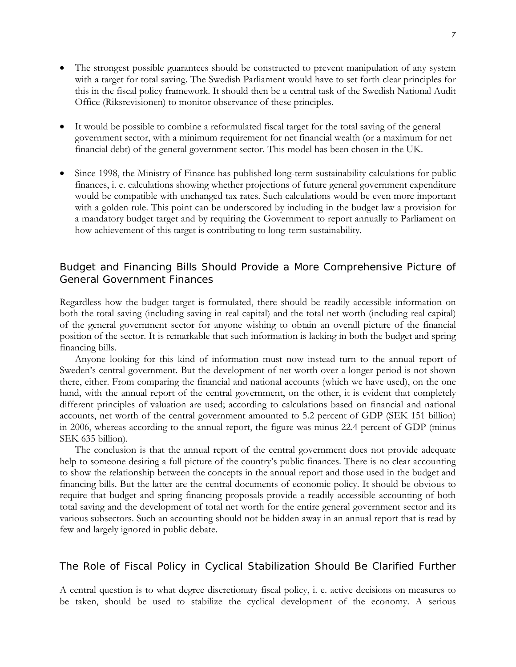- The strongest possible guarantees should be constructed to prevent manipulation of any system with a target for total saving. The Swedish Parliament would have to set forth clear principles for this in the fiscal policy framework. It should then be a central task of the Swedish National Audit Office (Riksrevisionen) to monitor observance of these principles.
- It would be possible to combine a reformulated fiscal target for the total saving of the general government sector, with a minimum requirement for net financial wealth (or a maximum for net financial debt) of the general government sector. This model has been chosen in the UK.
- Since 1998, the Ministry of Finance has published long-term sustainability calculations for public finances, i. e. calculations showing whether projections of future general government expenditure would be compatible with unchanged tax rates. Such calculations would be even more important with a golden rule. This point can be underscored by including in the budget law a provision for a mandatory budget target and by requiring the Government to report annually to Parliament on how achievement of this target is contributing to long-term sustainability.

# Budget and Financing Bills Should Provide a More Comprehensive Picture of General Government Finances

Regardless how the budget target is formulated, there should be readily accessible information on both the total saving (including saving in real capital) and the total net worth (including real capital) of the general government sector for anyone wishing to obtain an overall picture of the financial position of the sector. It is remarkable that such information is lacking in both the budget and spring financing bills.

Anyone looking for this kind of information must now instead turn to the annual report of Sweden's central government. But the development of net worth over a longer period is not shown there, either. From comparing the financial and national accounts (which we have used), on the one hand, with the annual report of the central government, on the other, it is evident that completely different principles of valuation are used; according to calculations based on financial and national accounts, net worth of the central government amounted to 5.2 percent of GDP (SEK 151 billion) in 2006, whereas according to the annual report, the figure was minus 22.4 percent of GDP (minus SEK 635 billion).

The conclusion is that the annual report of the central government does not provide adequate help to someone desiring a full picture of the country's public finances. There is no clear accounting to show the relationship between the concepts in the annual report and those used in the budget and financing bills. But the latter are the central documents of economic policy. It should be obvious to require that budget and spring financing proposals provide a readily accessible accounting of both total saving and the development of total net worth for the entire general government sector and its various subsectors. Such an accounting should not be hidden away in an annual report that is read by few and largely ignored in public debate.

# The Role of Fiscal Policy in Cyclical Stabilization Should Be Clarified Further

A central question is to what degree discretionary fiscal policy, i. e. active decisions on measures to be taken, should be used to stabilize the cyclical development of the economy. A serious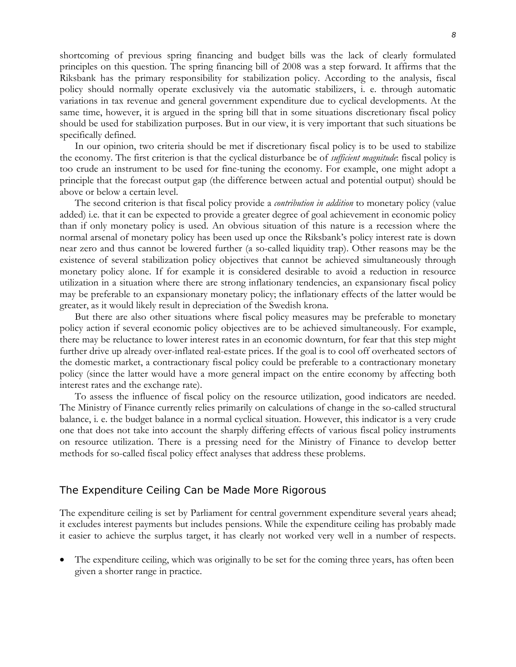shortcoming of previous spring financing and budget bills was the lack of clearly formulated principles on this question. The spring financing bill of 2008 was a step forward. It affirms that the Riksbank has the primary responsibility for stabilization policy. According to the analysis, fiscal policy should normally operate exclusively via the automatic stabilizers, i. e. through automatic variations in tax revenue and general government expenditure due to cyclical developments. At the same time, however, it is argued in the spring bill that in some situations discretionary fiscal policy should be used for stabilization purposes. But in our view, it is very important that such situations be specifically defined.

In our opinion, two criteria should be met if discretionary fiscal policy is to be used to stabilize the economy. The first criterion is that the cyclical disturbance be of *sufficient magnitude*: fiscal policy is too crude an instrument to be used for fine-tuning the economy. For example, one might adopt a principle that the forecast output gap (the difference between actual and potential output) should be above or below a certain level.

The second criterion is that fiscal policy provide a *contribution in addition* to monetary policy (value added) i.e. that it can be expected to provide a greater degree of goal achievement in economic policy than if only monetary policy is used. An obvious situation of this nature is a recession where the normal arsenal of monetary policy has been used up once the Riksbank's policy interest rate is down near zero and thus cannot be lowered further (a so-called liquidity trap). Other reasons may be the existence of several stabilization policy objectives that cannot be achieved simultaneously through monetary policy alone. If for example it is considered desirable to avoid a reduction in resource utilization in a situation where there are strong inflationary tendencies, an expansionary fiscal policy may be preferable to an expansionary monetary policy; the inflationary effects of the latter would be greater, as it would likely result in depreciation of the Swedish krona.

But there are also other situations where fiscal policy measures may be preferable to monetary policy action if several economic policy objectives are to be achieved simultaneously. For example, there may be reluctance to lower interest rates in an economic downturn, for fear that this step might further drive up already over-inflated real-estate prices. If the goal is to cool off overheated sectors of the domestic market, a contractionary fiscal policy could be preferable to a contractionary monetary policy (since the latter would have a more general impact on the entire economy by affecting both interest rates and the exchange rate).

To assess the influence of fiscal policy on the resource utilization, good indicators are needed. The Ministry of Finance currently relies primarily on calculations of change in the so-called structural balance, i. e. the budget balance in a normal cyclical situation. However, this indicator is a very crude one that does not take into account the sharply differing effects of various fiscal policy instruments on resource utilization. There is a pressing need for the Ministry of Finance to develop better methods for so-called fiscal policy effect analyses that address these problems.

#### The Expenditure Ceiling Can be Made More Rigorous

The expenditure ceiling is set by Parliament for central government expenditure several years ahead; it excludes interest payments but includes pensions. While the expenditure ceiling has probably made it easier to achieve the surplus target, it has clearly not worked very well in a number of respects.

The expenditure ceiling, which was originally to be set for the coming three years, has often been given a shorter range in practice.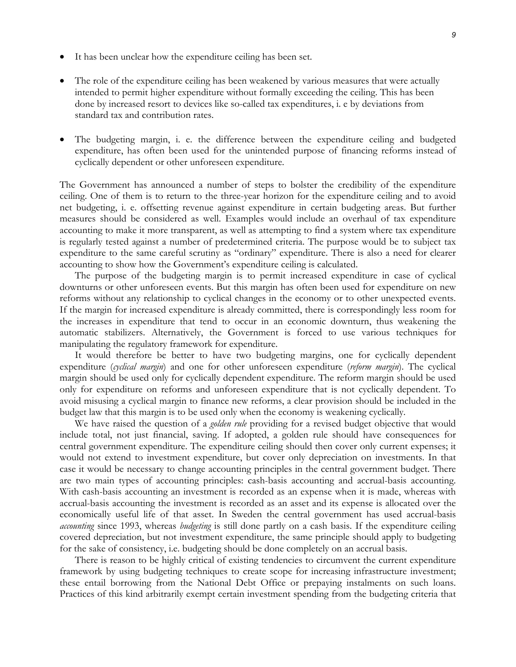- It has been unclear how the expenditure ceiling has been set.
- The role of the expenditure ceiling has been weakened by various measures that were actually intended to permit higher expenditure without formally exceeding the ceiling. This has been done by increased resort to devices like so-called tax expenditures, i. e by deviations from standard tax and contribution rates.
- The budgeting margin, i. e. the difference between the expenditure ceiling and budgeted expenditure, has often been used for the unintended purpose of financing reforms instead of cyclically dependent or other unforeseen expenditure.

The Government has announced a number of steps to bolster the credibility of the expenditure ceiling. One of them is to return to the three-year horizon for the expenditure ceiling and to avoid net budgeting, i. e. offsetting revenue against expenditure in certain budgeting areas. But further measures should be considered as well. Examples would include an overhaul of tax expenditure accounting to make it more transparent, as well as attempting to find a system where tax expenditure is regularly tested against a number of predetermined criteria. The purpose would be to subject tax expenditure to the same careful scrutiny as "ordinary" expenditure. There is also a need for clearer accounting to show how the Government's expenditure ceiling is calculated.

The purpose of the budgeting margin is to permit increased expenditure in case of cyclical downturns or other unforeseen events. But this margin has often been used for expenditure on new reforms without any relationship to cyclical changes in the economy or to other unexpected events. If the margin for increased expenditure is already committed, there is correspondingly less room for the increases in expenditure that tend to occur in an economic downturn, thus weakening the automatic stabilizers. Alternatively, the Government is forced to use various techniques for manipulating the regulatory framework for expenditure.

It would therefore be better to have two budgeting margins, one for cyclically dependent expenditure (*cyclical margin*) and one for other unforeseen expenditure (*reform margin*). The cyclical margin should be used only for cyclically dependent expenditure. The reform margin should be used only for expenditure on reforms and unforeseen expenditure that is not cyclically dependent. To avoid misusing a cyclical margin to finance new reforms, a clear provision should be included in the budget law that this margin is to be used only when the economy is weakening cyclically.

We have raised the question of a *golden rule* providing for a revised budget objective that would include total, not just financial, saving. If adopted, a golden rule should have consequences for central government expenditure. The expenditure ceiling should then cover only current expenses; it would not extend to investment expenditure, but cover only depreciation on investments. In that case it would be necessary to change accounting principles in the central government budget. There are two main types of accounting principles: cash-basis accounting and accrual-basis accounting. With cash-basis accounting an investment is recorded as an expense when it is made, whereas with accrual-basis accounting the investment is recorded as an asset and its expense is allocated over the economically useful life of that asset. In Sweden the central government has used accrual-basis *accounting* since 1993, whereas *budgeting* is still done partly on a cash basis. If the expenditure ceiling covered depreciation, but not investment expenditure, the same principle should apply to budgeting for the sake of consistency, i.e. budgeting should be done completely on an accrual basis.

There is reason to be highly critical of existing tendencies to circumvent the current expenditure framework by using budgeting techniques to create scope for increasing infrastructure investment; these entail borrowing from the National Debt Office or prepaying instalments on such loans. Practices of this kind arbitrarily exempt certain investment spending from the budgeting criteria that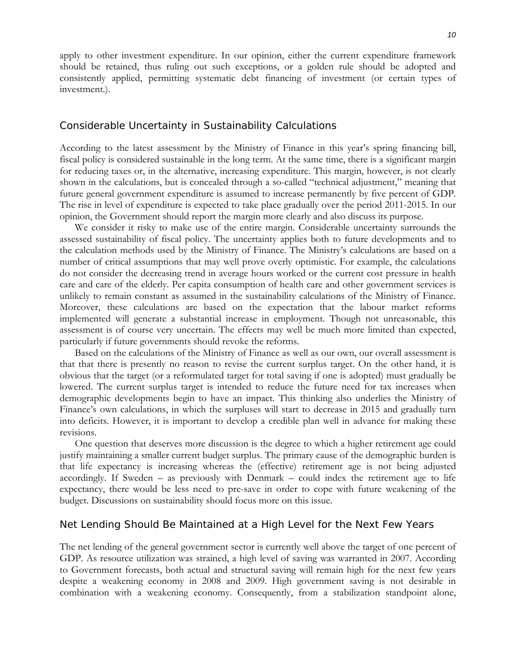apply to other investment expenditure. In our opinion, either the current expenditure framework should be retained, thus ruling out such exceptions, or a golden rule should be adopted and consistently applied, permitting systematic debt financing of investment (or certain types of investment.).

#### Considerable Uncertainty in Sustainability Calculations

According to the latest assessment by the Ministry of Finance in this year's spring financing bill, fiscal policy is considered sustainable in the long term. At the same time, there is a significant margin for reducing taxes or, in the alternative, increasing expenditure. This margin, however, is not clearly shown in the calculations, but is concealed through a so-called "technical adjustment," meaning that future general government expenditure is assumed to increase permanently by five percent of GDP. The rise in level of expenditure is expected to take place gradually over the period 2011-2015. In our opinion, the Government should report the margin more clearly and also discuss its purpose.

We consider it risky to make use of the entire margin. Considerable uncertainty surrounds the assessed sustainability of fiscal policy. The uncertainty applies both to future developments and to the calculation methods used by the Ministry of Finance. The Ministry's calculations are based on a number of critical assumptions that may well prove overly optimistic. For example, the calculations do not consider the decreasing trend in average hours worked or the current cost pressure in health care and care of the elderly. Per capita consumption of health care and other government services is unlikely to remain constant as assumed in the sustainability calculations of the Ministry of Finance. Moreover, these calculations are based on the expectation that the labour market reforms implemented will generate a substantial increase in employment. Though not unreasonable, this assessment is of course very uncertain. The effects may well be much more limited than expected, particularly if future governments should revoke the reforms.

Based on the calculations of the Ministry of Finance as well as our own, our overall assessment is that that there is presently no reason to revise the current surplus target. On the other hand, it is obvious that the target (or a reformulated target for total saving if one is adopted) must gradually be lowered. The current surplus target is intended to reduce the future need for tax increases when demographic developments begin to have an impact. This thinking also underlies the Ministry of Finance's own calculations, in which the surpluses will start to decrease in 2015 and gradually turn into deficits. However, it is important to develop a credible plan well in advance for making these revisions.

One question that deserves more discussion is the degree to which a higher retirement age could justify maintaining a smaller current budget surplus. The primary cause of the demographic burden is that life expectancy is increasing whereas the (effective) retirement age is not being adjusted accordingly. If Sweden – as previously with Denmark – could index the retirement age to life expectancy, there would be less need to pre-save in order to cope with future weakening of the budget. Discussions on sustainability should focus more on this issue.

# Net Lending Should Be Maintained at a High Level for the Next Few Years

The net lending of the general government sector is currently well above the target of one percent of GDP. As resource utilization was strained, a high level of saving was warranted in 2007. According to Government forecasts, both actual and structural saving will remain high for the next few years despite a weakening economy in 2008 and 2009. High government saving is not desirable in combination with a weakening economy. Consequently, from a stabilization standpoint alone,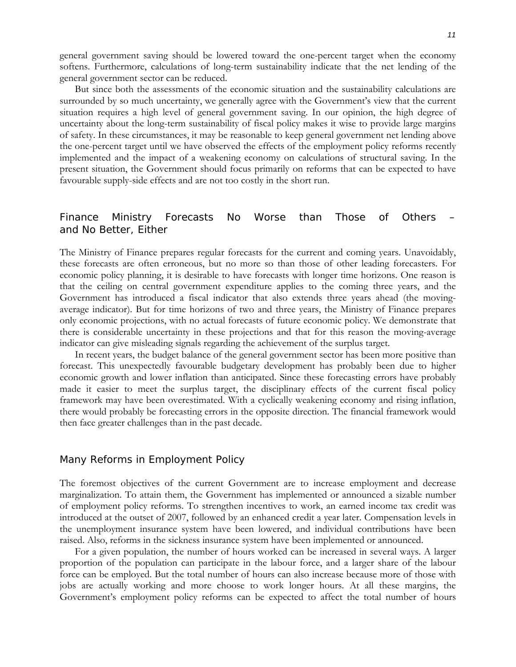general government saving should be lowered toward the one-percent target when the economy softens. Furthermore, calculations of long-term sustainability indicate that the net lending of the general government sector can be reduced.

But since both the assessments of the economic situation and the sustainability calculations are surrounded by so much uncertainty, we generally agree with the Government's view that the current situation requires a high level of general government saving. In our opinion, the high degree of uncertainty about the long-term sustainability of fiscal policy makes it wise to provide large margins of safety. In these circumstances, it may be reasonable to keep general government net lending above the one-percent target until we have observed the effects of the employment policy reforms recently implemented and the impact of a weakening economy on calculations of structural saving. In the present situation, the Government should focus primarily on reforms that can be expected to have favourable supply-side effects and are not too costly in the short run.

# Finance Ministry Forecasts No Worse than Those of Others – and No Better, Either

The Ministry of Finance prepares regular forecasts for the current and coming years. Unavoidably, these forecasts are often erroneous, but no more so than those of other leading forecasters. For economic policy planning, it is desirable to have forecasts with longer time horizons. One reason is that the ceiling on central government expenditure applies to the coming three years, and the Government has introduced a fiscal indicator that also extends three years ahead (the movingaverage indicator). But for time horizons of two and three years, the Ministry of Finance prepares only economic projections, with no actual forecasts of future economic policy. We demonstrate that there is considerable uncertainty in these projections and that for this reason the moving-average indicator can give misleading signals regarding the achievement of the surplus target.

In recent years, the budget balance of the general government sector has been more positive than forecast. This unexpectedly favourable budgetary development has probably been due to higher economic growth and lower inflation than anticipated. Since these forecasting errors have probably made it easier to meet the surplus target, the disciplinary effects of the current fiscal policy framework may have been overestimated. With a cyclically weakening economy and rising inflation, there would probably be forecasting errors in the opposite direction. The financial framework would then face greater challenges than in the past decade.

#### Many Reforms in Employment Policy

The foremost objectives of the current Government are to increase employment and decrease marginalization. To attain them, the Government has implemented or announced a sizable number of employment policy reforms. To strengthen incentives to work, an earned income tax credit was introduced at the outset of 2007, followed by an enhanced credit a year later. Compensation levels in the unemployment insurance system have been lowered, and individual contributions have been raised. Also, reforms in the sickness insurance system have been implemented or announced.

For a given population, the number of hours worked can be increased in several ways. A larger proportion of the population can participate in the labour force, and a larger share of the labour force can be employed. But the total number of hours can also increase because more of those with jobs are actually working and more choose to work longer hours. At all these margins, the Government's employment policy reforms can be expected to affect the total number of hours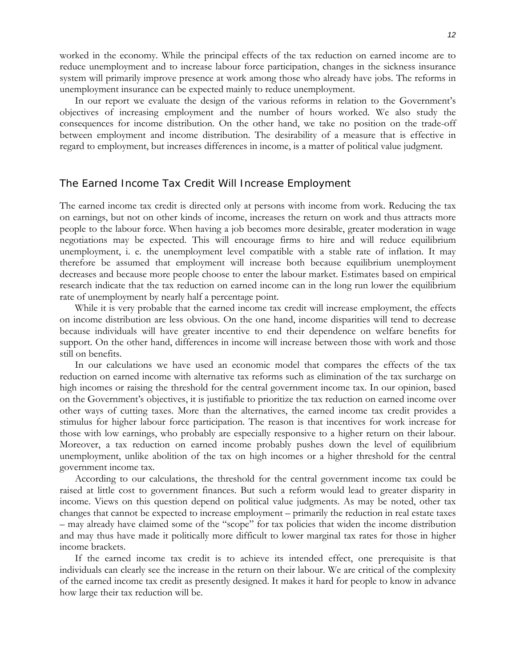worked in the economy. While the principal effects of the tax reduction on earned income are to reduce unemployment and to increase labour force participation, changes in the sickness insurance system will primarily improve presence at work among those who already have jobs. The reforms in unemployment insurance can be expected mainly to reduce unemployment.

In our report we evaluate the design of the various reforms in relation to the Government's objectives of increasing employment and the number of hours worked. We also study the consequences for income distribution. On the other hand, we take no position on the trade-off between employment and income distribution. The desirability of a measure that is effective in regard to employment, but increases differences in income, is a matter of political value judgment.

#### The Earned Income Tax Credit Will Increase Employment

The earned income tax credit is directed only at persons with income from work. Reducing the tax on earnings, but not on other kinds of income, increases the return on work and thus attracts more people to the labour force. When having a job becomes more desirable, greater moderation in wage negotiations may be expected. This will encourage firms to hire and will reduce equilibrium unemployment, i. e. the unemployment level compatible with a stable rate of inflation. It may therefore be assumed that employment will increase both because equilibrium unemployment decreases and because more people choose to enter the labour market. Estimates based on empirical research indicate that the tax reduction on earned income can in the long run lower the equilibrium rate of unemployment by nearly half a percentage point.

While it is very probable that the earned income tax credit will increase employment, the effects on income distribution are less obvious. On the one hand, income disparities will tend to decrease because individuals will have greater incentive to end their dependence on welfare benefits for support. On the other hand, differences in income will increase between those with work and those still on benefits.

In our calculations we have used an economic model that compares the effects of the tax reduction on earned income with alternative tax reforms such as elimination of the tax surcharge on high incomes or raising the threshold for the central government income tax. In our opinion, based on the Government's objectives, it is justifiable to prioritize the tax reduction on earned income over other ways of cutting taxes. More than the alternatives, the earned income tax credit provides a stimulus for higher labour force participation. The reason is that incentives for work increase for those with low earnings, who probably are especially responsive to a higher return on their labour. Moreover, a tax reduction on earned income probably pushes down the level of equilibrium unemployment, unlike abolition of the tax on high incomes or a higher threshold for the central government income tax.

According to our calculations, the threshold for the central government income tax could be raised at little cost to government finances. But such a reform would lead to greater disparity in income. Views on this question depend on political value judgments. As may be noted, other tax changes that cannot be expected to increase employment – primarily the reduction in real estate taxes – may already have claimed some of the "scope" for tax policies that widen the income distribution and may thus have made it politically more difficult to lower marginal tax rates for those in higher income brackets.

If the earned income tax credit is to achieve its intended effect, one prerequisite is that individuals can clearly see the increase in the return on their labour. We are critical of the complexity of the earned income tax credit as presently designed. It makes it hard for people to know in advance how large their tax reduction will be.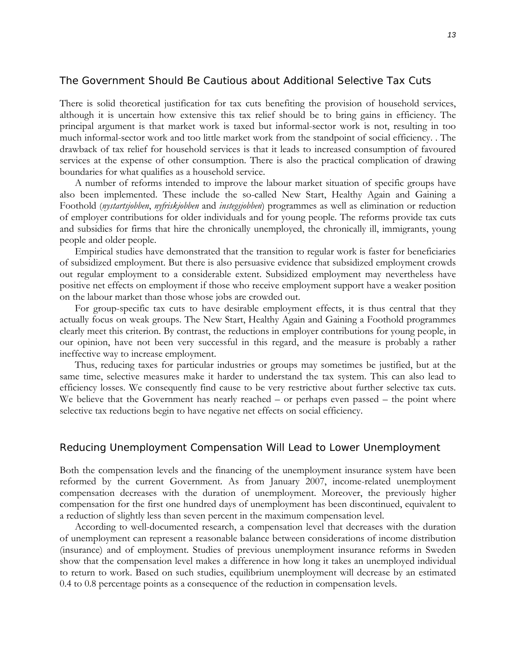# The Government Should Be Cautious about Additional Selective Tax Cuts

There is solid theoretical justification for tax cuts benefiting the provision of household services, although it is uncertain how extensive this tax relief should be to bring gains in efficiency. The principal argument is that market work is taxed but informal-sector work is not, resulting in too much informal-sector work and too little market work from the standpoint of social efficiency. . The drawback of tax relief for household services is that it leads to increased consumption of favoured services at the expense of other consumption. There is also the practical complication of drawing boundaries for what qualifies as a household service.

A number of reforms intended to improve the labour market situation of specific groups have also been implemented. These include the so-called New Start, Healthy Again and Gaining a Foothold (*nystartsjobben*, *nyfriskjobben* and *instegsjobben*) programmes as well as elimination or reduction of employer contributions for older individuals and for young people. The reforms provide tax cuts and subsidies for firms that hire the chronically unemployed, the chronically ill, immigrants, young people and older people.

Empirical studies have demonstrated that the transition to regular work is faster for beneficiaries of subsidized employment. But there is also persuasive evidence that subsidized employment crowds out regular employment to a considerable extent. Subsidized employment may nevertheless have positive net effects on employment if those who receive employment support have a weaker position on the labour market than those whose jobs are crowded out.

For group-specific tax cuts to have desirable employment effects, it is thus central that they actually focus on weak groups. The New Start, Healthy Again and Gaining a Foothold programmes clearly meet this criterion. By contrast, the reductions in employer contributions for young people, in our opinion, have not been very successful in this regard, and the measure is probably a rather ineffective way to increase employment.

Thus, reducing taxes for particular industries or groups may sometimes be justified, but at the same time, selective measures make it harder to understand the tax system. This can also lead to efficiency losses. We consequently find cause to be very restrictive about further selective tax cuts. We believe that the Government has nearly reached – or perhaps even passed – the point where selective tax reductions begin to have negative net effects on social efficiency.

# Reducing Unemployment Compensation Will Lead to Lower Unemployment

Both the compensation levels and the financing of the unemployment insurance system have been reformed by the current Government. As from January 2007, income-related unemployment compensation decreases with the duration of unemployment. Moreover, the previously higher compensation for the first one hundred days of unemployment has been discontinued, equivalent to a reduction of slightly less than seven percent in the maximum compensation level.

According to well-documented research, a compensation level that decreases with the duration of unemployment can represent a reasonable balance between considerations of income distribution (insurance) and of employment. Studies of previous unemployment insurance reforms in Sweden show that the compensation level makes a difference in how long it takes an unemployed individual to return to work. Based on such studies, equilibrium unemployment will decrease by an estimated 0.4 to 0.8 percentage points as a consequence of the reduction in compensation levels.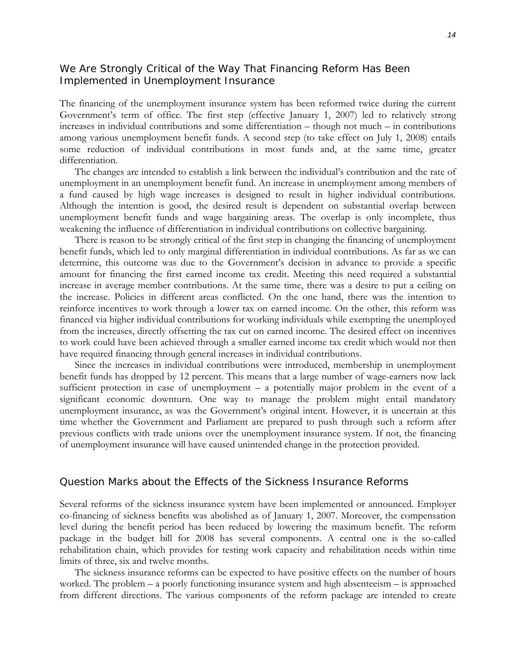# We Are Strongly Critical of the Way That Financing Reform Has Been Implemented in Unemployment Insurance

The financing of the unemployment insurance system has been reformed twice during the current Government's term of office. The first step (effective January 1, 2007) led to relatively strong increases in individual contributions and some differentiation – though not much – in contributions among various unemployment benefit funds. A second step (to take effect on July 1, 2008) entails some reduction of individual contributions in most funds and, at the same time, greater differentiation.

The changes are intended to establish a link between the individual's contribution and the rate of unemployment in an unemployment benefit fund. An increase in unemployment among members of a fund caused by high wage increases is designed to result in higher individual contributions. Although the intention is good, the desired result is dependent on substantial overlap between unemployment benefit funds and wage bargaining areas. The overlap is only incomplete, thus weakening the influence of differentiation in individual contributions on collective bargaining.

There is reason to be strongly critical of the first step in changing the financing of unemployment benefit funds, which led to only marginal differentiation in individual contributions. As far as we can determine, this outcome was due to the Government's decision in advance to provide a specific amount for financing the first earned income tax credit. Meeting this need required a substantial increase in average member contributions. At the same time, there was a desire to put a ceiling on the increase. Policies in different areas conflicted. On the one hand, there was the intention to reinforce incentives to work through a lower tax on earned income. On the other, this reform was financed via higher individual contributions for working individuals while exempting the unemployed from the increases, directly offsetting the tax cut on earned income. The desired effect on incentives to work could have been achieved through a smaller earned income tax credit which would not then have required financing through general increases in individual contributions.

Since the increases in individual contributions were introduced, membership in unemployment benefit funds has dropped by 12 percent. This means that a large number of wage-earners now lack sufficient protection in case of unemployment – a potentially major problem in the event of a significant economic downturn. One way to manage the problem might entail mandatory unemployment insurance, as was the Government's original intent. However, it is uncertain at this time whether the Government and Parliament are prepared to push through such a reform after previous conflicts with trade unions over the unemployment insurance system. If not, the financing of unemployment insurance will have caused unintended change in the protection provided.

# Question Marks about the Effects of the Sickness Insurance Reforms

Several reforms of the sickness insurance system have been implemented or announced. Employer co-financing of sickness benefits was abolished as of January 1, 2007. Moreover, the compensation level during the benefit period has been reduced by lowering the maximum benefit. The reform package in the budget bill for 2008 has several components. A central one is the so-called rehabilitation chain, which provides for testing work capacity and rehabilitation needs within time limits of three, six and twelve months.

The sickness insurance reforms can be expected to have positive effects on the number of hours worked. The problem – a poorly functioning insurance system and high absenteeism – is approached from different directions. The various components of the reform package are intended to create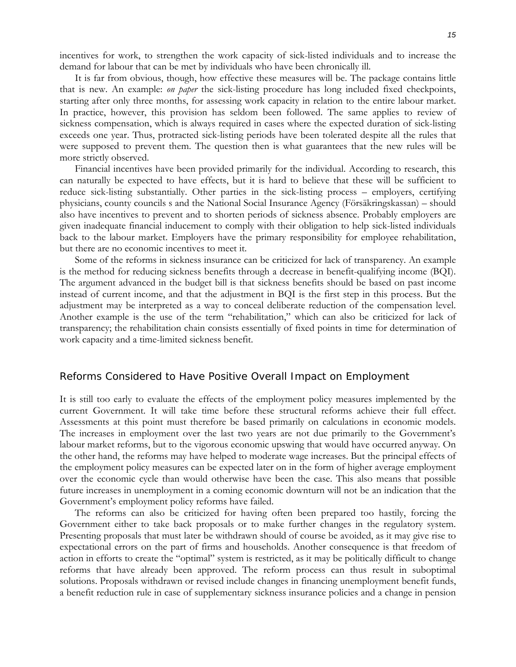incentives for work, to strengthen the work capacity of sick-listed individuals and to increase the demand for labour that can be met by individuals who have been chronically ill.

It is far from obvious, though, how effective these measures will be. The package contains little that is new. An example: *on paper* the sick-listing procedure has long included fixed checkpoints, starting after only three months, for assessing work capacity in relation to the entire labour market. In practice, however, this provision has seldom been followed. The same applies to review of sickness compensation, which is always required in cases where the expected duration of sick-listing exceeds one year. Thus, protracted sick-listing periods have been tolerated despite all the rules that were supposed to prevent them. The question then is what guarantees that the new rules will be more strictly observed.

Financial incentives have been provided primarily for the individual. According to research, this can naturally be expected to have effects, but it is hard to believe that these will be sufficient to reduce sick-listing substantially. Other parties in the sick-listing process – employers, certifying physicians, county councils s and the National Social Insurance Agency (Försäkringskassan) – should also have incentives to prevent and to shorten periods of sickness absence. Probably employers are given inadequate financial inducement to comply with their obligation to help sick-listed individuals back to the labour market. Employers have the primary responsibility for employee rehabilitation, but there are no economic incentives to meet it.

Some of the reforms in sickness insurance can be criticized for lack of transparency. An example is the method for reducing sickness benefits through a decrease in benefit-qualifying income (BQI). The argument advanced in the budget bill is that sickness benefits should be based on past income instead of current income, and that the adjustment in BQI is the first step in this process. But the adjustment may be interpreted as a way to conceal deliberate reduction of the compensation level. Another example is the use of the term "rehabilitation," which can also be criticized for lack of transparency; the rehabilitation chain consists essentially of fixed points in time for determination of work capacity and a time-limited sickness benefit.

#### Reforms Considered to Have Positive Overall Impact on Employment

It is still too early to evaluate the effects of the employment policy measures implemented by the current Government. It will take time before these structural reforms achieve their full effect. Assessments at this point must therefore be based primarily on calculations in economic models. The increases in employment over the last two years are not due primarily to the Government's labour market reforms, but to the vigorous economic upswing that would have occurred anyway. On the other hand, the reforms may have helped to moderate wage increases. But the principal effects of the employment policy measures can be expected later on in the form of higher average employment over the economic cycle than would otherwise have been the case. This also means that possible future increases in unemployment in a coming economic downturn will not be an indication that the Government's employment policy reforms have failed.

The reforms can also be criticized for having often been prepared too hastily, forcing the Government either to take back proposals or to make further changes in the regulatory system. Presenting proposals that must later be withdrawn should of course be avoided, as it may give rise to expectational errors on the part of firms and households. Another consequence is that freedom of action in efforts to create the "optimal" system is restricted, as it may be politically difficult to change reforms that have already been approved. The reform process can thus result in suboptimal solutions. Proposals withdrawn or revised include changes in financing unemployment benefit funds, a benefit reduction rule in case of supplementary sickness insurance policies and a change in pension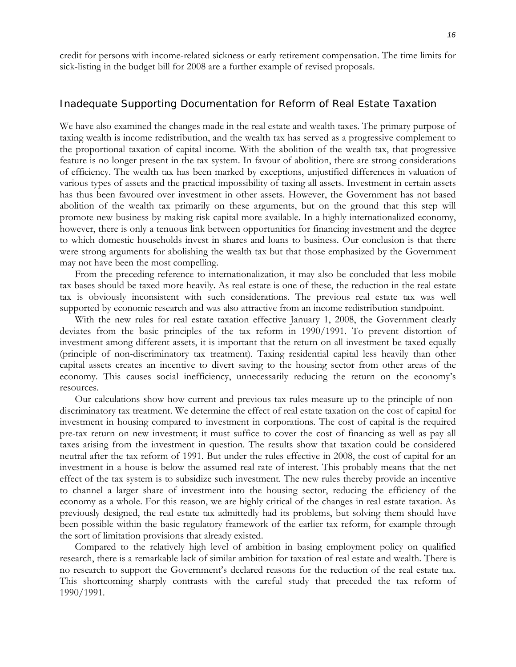credit for persons with income-related sickness or early retirement compensation. The time limits for sick-listing in the budget bill for 2008 are a further example of revised proposals.

#### Inadequate Supporting Documentation for Reform of Real Estate Taxation

We have also examined the changes made in the real estate and wealth taxes. The primary purpose of taxing wealth is income redistribution, and the wealth tax has served as a progressive complement to the proportional taxation of capital income. With the abolition of the wealth tax, that progressive feature is no longer present in the tax system. In favour of abolition, there are strong considerations of efficiency. The wealth tax has been marked by exceptions, unjustified differences in valuation of various types of assets and the practical impossibility of taxing all assets. Investment in certain assets has thus been favoured over investment in other assets. However, the Government has not based abolition of the wealth tax primarily on these arguments, but on the ground that this step will promote new business by making risk capital more available. In a highly internationalized economy, however, there is only a tenuous link between opportunities for financing investment and the degree to which domestic households invest in shares and loans to business. Our conclusion is that there were strong arguments for abolishing the wealth tax but that those emphasized by the Government may not have been the most compelling.

From the preceding reference to internationalization, it may also be concluded that less mobile tax bases should be taxed more heavily. As real estate is one of these, the reduction in the real estate tax is obviously inconsistent with such considerations. The previous real estate tax was well supported by economic research and was also attractive from an income redistribution standpoint.

With the new rules for real estate taxation effective January 1, 2008, the Government clearly deviates from the basic principles of the tax reform in 1990/1991. To prevent distortion of investment among different assets, it is important that the return on all investment be taxed equally (principle of non-discriminatory tax treatment). Taxing residential capital less heavily than other capital assets creates an incentive to divert saving to the housing sector from other areas of the economy. This causes social inefficiency, unnecessarily reducing the return on the economy's resources.

Our calculations show how current and previous tax rules measure up to the principle of nondiscriminatory tax treatment. We determine the effect of real estate taxation on the cost of capital for investment in housing compared to investment in corporations. The cost of capital is the required pre-tax return on new investment; it must suffice to cover the cost of financing as well as pay all taxes arising from the investment in question. The results show that taxation could be considered neutral after the tax reform of 1991. But under the rules effective in 2008, the cost of capital for an investment in a house is below the assumed real rate of interest. This probably means that the net effect of the tax system is to subsidize such investment. The new rules thereby provide an incentive to channel a larger share of investment into the housing sector, reducing the efficiency of the economy as a whole. For this reason, we are highly critical of the changes in real estate taxation. As previously designed, the real estate tax admittedly had its problems, but solving them should have been possible within the basic regulatory framework of the earlier tax reform, for example through the sort of limitation provisions that already existed.

Compared to the relatively high level of ambition in basing employment policy on qualified research, there is a remarkable lack of similar ambition for taxation of real estate and wealth. There is no research to support the Government's declared reasons for the reduction of the real estate tax. This shortcoming sharply contrasts with the careful study that preceded the tax reform of 1990/1991.